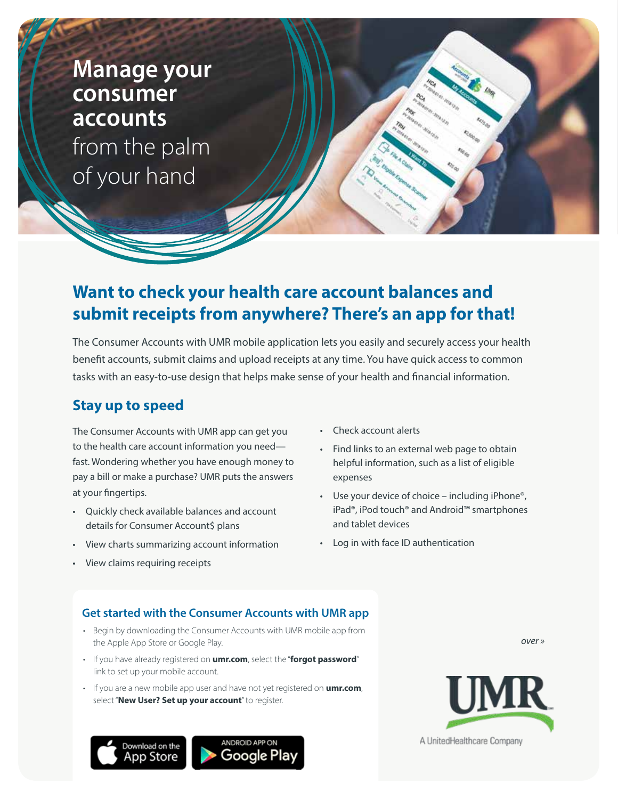**Manage your consumer accounts** from the palm of your hand

# **Want to check your health care account balances and submit receipts from anywhere? There's an app for that!**

The Consumer Accounts with UMR mobile application lets you easily and securely access your health benefit accounts, submit claims and upload receipts at any time. You have quick access to common tasks with an easy-to-use design that helps make sense of your health and financial information.

## **Stay up to speed**

The Consumer Accounts with UMR app can get you to the health care account information you need fast. Wondering whether you have enough money to pay a bill or make a purchase? UMR puts the answers at your fingertips.

- Quickly check available balances and account details for Consumer Account\$ plans
- View charts summarizing account information
- View claims requiring receipts
- Check account alerts
- Find links to an external web page to obtain helpful information, such as a list of eligible expenses
- Use your device of choice including iPhone<sup>®</sup>, iPad®, iPod touch® and Android™ smartphones and tablet devices
- Log in with face ID authentication

### **Get started with the Consumer Accounts with UMR app**

- Begin by downloading the Consumer Accounts with UMR mobile app from the Apple App Store or Google Play.
- If you have already registered on **[umr.com](https://www.umr.com)**, select the "**forgot password**" link to set up your mobile account.
- If you are a new mobile app user and have not yet registered on **[umr.com](https://www.umr.com)**, select "**New User? Set up your account**" to register.

Download on the App Store





*over »*